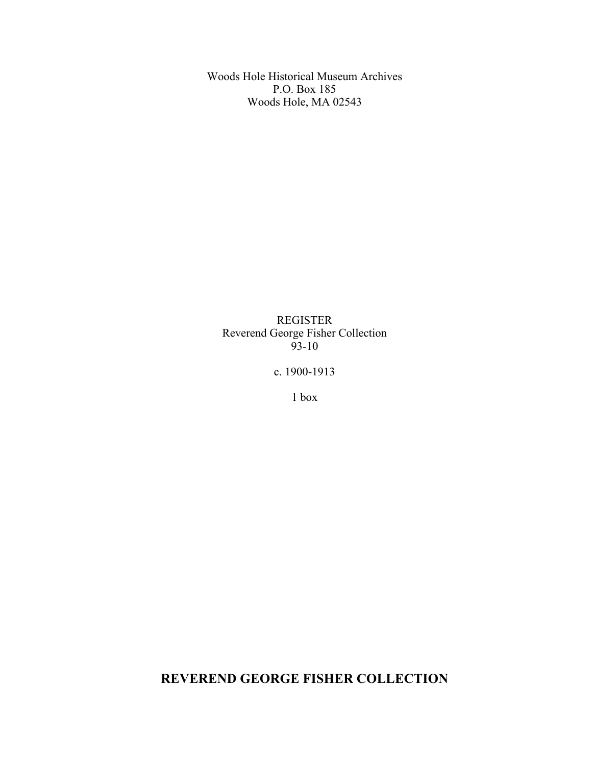Woods Hole Historical Museum Archives P.O. Box 185 Woods Hole, MA 02543

REGISTER Reverend George Fisher Collection  $93-10$ 

c. 1900-1913

1 box

**REVEREND GEORGE FISHER COLLECTION**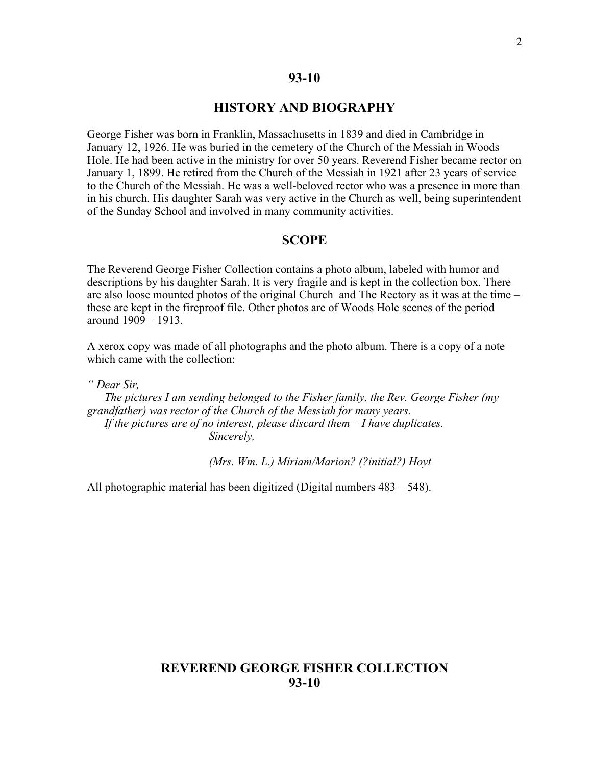### **93-10**

## **HISTORY AND BIOGRAPHY**

George Fisher was born in Franklin, Massachusetts in 1839 and died in Cambridge in January 12, 1926. He was buried in the cemetery of the Church of the Messiah in Woods Hole. He had been active in the ministry for over 50 years. Reverend Fisher became rector on January 1, 1899. He retired from the Church of the Messiah in 1921 after 23 years of service to the Church of the Messiah. He was a well-beloved rector who was a presence in more than in his church. His daughter Sarah was very active in the Church as well, being superintendent of the Sunday School and involved in many community activities.

### **SCOPE**

The Reverend George Fisher Collection contains a photo album, labeled with humor and descriptions by his daughter Sarah. It is very fragile and is kept in the collection box. There are also loose mounted photos of the original Church and The Rectory as it was at the time – these are kept in the fireproof file. Other photos are of Woods Hole scenes of the period around 1909 – 1913.

A xerox copy was made of all photographs and the photo album. There is a copy of a note which came with the collection:

*" Dear Sir,*

*The pictures I am sending belonged to the Fisher family, the Rev. George Fisher (my grandfather) was rector of the Church of the Messiah for many years. If the pictures are of no interest, please discard them – I have duplicates. Sincerely,*

*(Mrs. Wm. L.) Miriam/Marion? (?initial?) Hoyt*

All photographic material has been digitized (Digital numbers 483 – 548).

# **REVEREND GEORGE FISHER COLLECTION 93-10**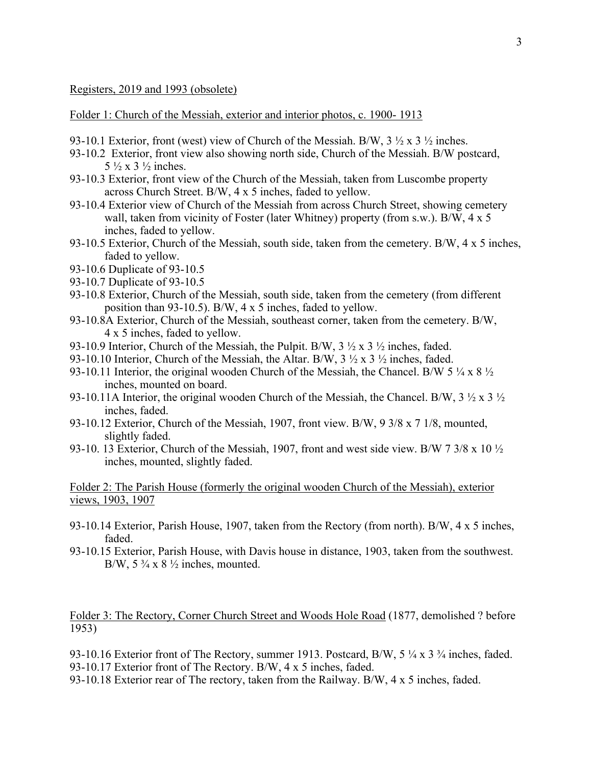#### Registers, 2019 and 1993 (obsolete)

Folder 1: Church of the Messiah, exterior and interior photos, c. 1900- 1913

- 93-10.1 Exterior, front (west) view of Church of the Messiah. B/W,  $3\frac{1}{2} \times 3\frac{1}{2}$  inches.
- 93-10.2 Exterior, front view also showing north side, Church of the Messiah. B/W postcard,  $5\frac{1}{2} \times 3\frac{1}{2}$  inches.
- 93-10.3 Exterior, front view of the Church of the Messiah, taken from Luscombe property across Church Street. B/W, 4 x 5 inches, faded to yellow.
- 93-10.4 Exterior view of Church of the Messiah from across Church Street, showing cemetery wall, taken from vicinity of Foster (later Whitney) property (from s.w.). B/W, 4 x 5 inches, faded to yellow.
- 93-10.5 Exterior, Church of the Messiah, south side, taken from the cemetery. B/W, 4 x 5 inches, faded to yellow.
- 93-10.6 Duplicate of 93-10.5
- 93-10.7 Duplicate of 93-10.5
- 93-10.8 Exterior, Church of the Messiah, south side, taken from the cemetery (from different position than 93-10.5). B/W, 4 x 5 inches, faded to yellow.
- 93-10.8A Exterior, Church of the Messiah, southeast corner, taken from the cemetery. B/W, 4 x 5 inches, faded to yellow.
- 93-10.9 Interior, Church of the Messiah, the Pulpit. B/W,  $3 \frac{1}{2} \times 3 \frac{1}{2}$  inches, faded.
- 93-10.10 Interior, Church of the Messiah, the Altar. B/W, 3 ½ x 3 ½ inches, faded.
- 93-10.11 Interior, the original wooden Church of the Messiah, the Chancel. B/W 5  $\frac{1}{4}$  x 8  $\frac{1}{2}$ inches, mounted on board.
- 93-10.11A Interior, the original wooden Church of the Messiah, the Chancel. B/W,  $3 \frac{1}{2} \times 3 \frac{1}{2}$ inches, faded.
- 93-10.12 Exterior, Church of the Messiah, 1907, front view. B/W, 9 3/8 x 7 1/8, mounted, slightly faded.
- 93-10. 13 Exterior, Church of the Messiah, 1907, front and west side view. B/W 7 3/8 x 10 ½ inches, mounted, slightly faded.

### Folder 2: The Parish House (formerly the original wooden Church of the Messiah), exterior views, 1903, 1907

- 93-10.14 Exterior, Parish House, 1907, taken from the Rectory (from north). B/W, 4 x 5 inches, faded.
- 93-10.15 Exterior, Parish House, with Davis house in distance, 1903, taken from the southwest. B/W,  $5\frac{3}{4}$  x  $8\frac{1}{2}$  inches, mounted.

Folder 3: The Rectory, Corner Church Street and Woods Hole Road (1877, demolished ? before 1953)

93-10.16 Exterior front of The Rectory, summer 1913. Postcard, B/W, 5 ¼ x 3 ¾ inches, faded. 93-10.17 Exterior front of The Rectory. B/W, 4 x 5 inches, faded.

93-10.18 Exterior rear of The rectory, taken from the Railway. B/W, 4 x 5 inches, faded.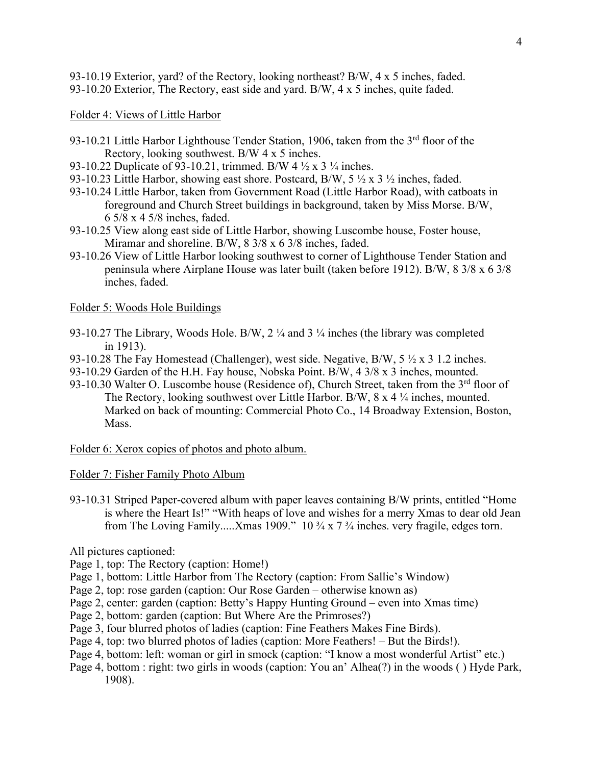93-10.19 Exterior, yard? of the Rectory, looking northeast? B/W, 4 x 5 inches, faded. 93-10.20 Exterior, The Rectory, east side and yard. B/W, 4 x 5 inches, quite faded.

Folder 4: Views of Little Harbor

- 93-10.21 Little Harbor Lighthouse Tender Station, 1906, taken from the 3<sup>rd</sup> floor of the Rectory, looking southwest. B/W 4 x 5 inches.
- 93-10.22 Duplicate of 93-10.21, trimmed. B/W 4 ½ x 3 ¼ inches.
- 93-10.23 Little Harbor, showing east shore. Postcard, B/W,  $5\frac{1}{2} \times 3\frac{1}{2}$  inches, faded.
- 93-10.24 Little Harbor, taken from Government Road (Little Harbor Road), with catboats in foreground and Church Street buildings in background, taken by Miss Morse. B/W, 6 5/8 x 4 5/8 inches, faded.
- 93-10.25 View along east side of Little Harbor, showing Luscombe house, Foster house, Miramar and shoreline. B/W, 8 3/8 x 6 3/8 inches, faded.
- 93-10.26 View of Little Harbor looking southwest to corner of Lighthouse Tender Station and peninsula where Airplane House was later built (taken before 1912). B/W, 8 3/8 x 6 3/8 inches, faded.

### Folder 5: Woods Hole Buildings

- 93-10.27 The Library, Woods Hole. B/W, 2 ¼ and 3 ¼ inches (the library was completed in 1913).
- 93-10.28 The Fay Homestead (Challenger), west side. Negative, B/W,  $5 \frac{1}{2} \times 3$  1.2 inches.
- 93-10.29 Garden of the H.H. Fay house, Nobska Point. B/W, 4 3/8 x 3 inches, mounted.
- 93-10.30 Walter O. Luscombe house (Residence of), Church Street, taken from the 3<sup>rd</sup> floor of The Rectory, looking southwest over Little Harbor. B/W, 8 x 4 ¼ inches, mounted. Marked on back of mounting: Commercial Photo Co., 14 Broadway Extension, Boston, Mass.

Folder 6: Xerox copies of photos and photo album.

Folder 7: Fisher Family Photo Album

93-10.31 Striped Paper-covered album with paper leaves containing B/W prints, entitled "Home is where the Heart Is!" "With heaps of love and wishes for a merry Xmas to dear old Jean from The Loving Family.....Xmas 1909." 10 ¾ x 7 ¾ inches. very fragile, edges torn.

All pictures captioned:

- Page 1, top: The Rectory (caption: Home!)
- Page 1, bottom: Little Harbor from The Rectory (caption: From Sallie's Window)
- Page 2, top: rose garden (caption: Our Rose Garden otherwise known as)
- Page 2, center: garden (caption: Betty's Happy Hunting Ground even into Xmas time)
- Page 2, bottom: garden (caption: But Where Are the Primroses?)
- Page 3, four blurred photos of ladies (caption: Fine Feathers Makes Fine Birds).
- Page 4, top: two blurred photos of ladies (caption: More Feathers! But the Birds!).
- Page 4, bottom: left: woman or girl in smock (caption: "I know a most wonderful Artist" etc.)
- Page 4, bottom : right: two girls in woods (caption: You an' Alhea(?) in the woods ( ) Hyde Park, 1908).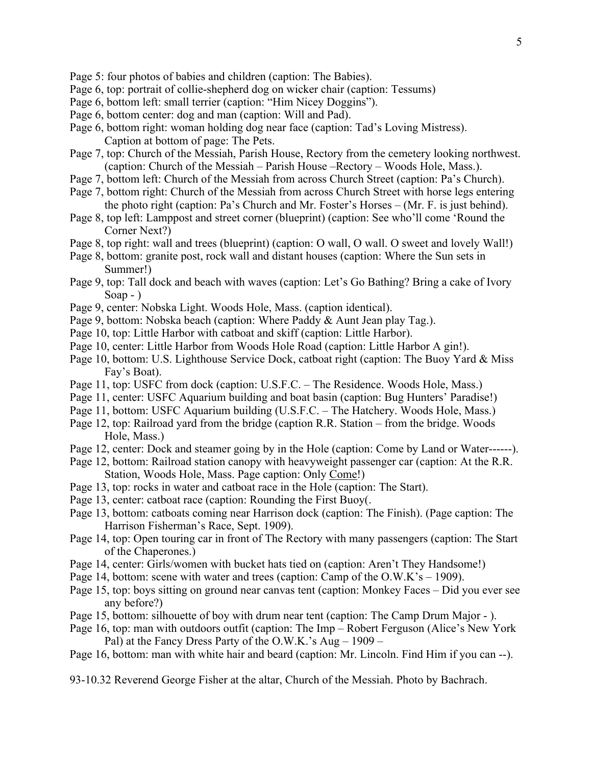- Page 5: four photos of babies and children (caption: The Babies).
- Page 6, top: portrait of collie-shepherd dog on wicker chair (caption: Tessums)
- Page 6, bottom left: small terrier (caption: "Him Nicey Doggins").
- Page 6, bottom center: dog and man (caption: Will and Pad).
- Page 6, bottom right: woman holding dog near face (caption: Tad's Loving Mistress). Caption at bottom of page: The Pets.
- Page 7, top: Church of the Messiah, Parish House, Rectory from the cemetery looking northwest. (caption: Church of the Messiah – Parish House –Rectory – Woods Hole, Mass.).
- Page 7, bottom left: Church of the Messiah from across Church Street (caption: Pa's Church).
- Page 7, bottom right: Church of the Messiah from across Church Street with horse legs entering the photo right (caption: Pa's Church and Mr. Foster's Horses – (Mr. F. is just behind).
- Page 8, top left: Lamppost and street corner (blueprint) (caption: See who'll come 'Round the Corner Next?)
- Page 8, top right: wall and trees (blueprint) (caption: O wall, O wall. O sweet and lovely Wall!)
- Page 8, bottom: granite post, rock wall and distant houses (caption: Where the Sun sets in Summer!)
- Page 9, top: Tall dock and beach with waves (caption: Let's Go Bathing? Bring a cake of Ivory Soap - )
- Page 9, center: Nobska Light. Woods Hole, Mass. (caption identical).
- Page 9, bottom: Nobska beach (caption: Where Paddy & Aunt Jean play Tag.).
- Page 10, top: Little Harbor with catboat and skiff (caption: Little Harbor).
- Page 10, center: Little Harbor from Woods Hole Road (caption: Little Harbor A gin!).
- Page 10, bottom: U.S. Lighthouse Service Dock, catboat right (caption: The Buoy Yard & Miss Fay's Boat).
- Page 11, top: USFC from dock (caption: U.S.F.C. The Residence. Woods Hole, Mass.)
- Page 11, center: USFC Aquarium building and boat basin (caption: Bug Hunters' Paradise!)
- Page 11, bottom: USFC Aquarium building (U.S.F.C. The Hatchery. Woods Hole, Mass.)
- Page 12, top: Railroad yard from the bridge (caption R.R. Station from the bridge. Woods Hole, Mass.)
- Page 12, center: Dock and steamer going by in the Hole (caption: Come by Land or Water------).
- Page 12, bottom: Railroad station canopy with heavyweight passenger car (caption: At the R.R. Station, Woods Hole, Mass. Page caption: Only Come!)
- Page 13, top: rocks in water and catboat race in the Hole (caption: The Start).
- Page 13, center: catboat race (caption: Rounding the First Buoy(.
- Page 13, bottom: catboats coming near Harrison dock (caption: The Finish). (Page caption: The Harrison Fisherman's Race, Sept. 1909).
- Page 14, top: Open touring car in front of The Rectory with many passengers (caption: The Start of the Chaperones.)
- Page 14, center: Girls/women with bucket hats tied on (caption: Aren't They Handsome!)
- Page 14, bottom: scene with water and trees (caption: Camp of the O.W.K's 1909).
- Page 15, top: boys sitting on ground near canvas tent (caption: Monkey Faces Did you ever see any before?)
- Page 15, bottom: silhouette of boy with drum near tent (caption: The Camp Drum Major ).
- Page 16, top: man with outdoors outfit (caption: The Imp Robert Ferguson (Alice's New York Pal) at the Fancy Dress Party of the O.W.K.'s Aug – 1909 –
- Page 16, bottom: man with white hair and beard (caption: Mr. Lincoln. Find Him if you can --).

93-10.32 Reverend George Fisher at the altar, Church of the Messiah. Photo by Bachrach.